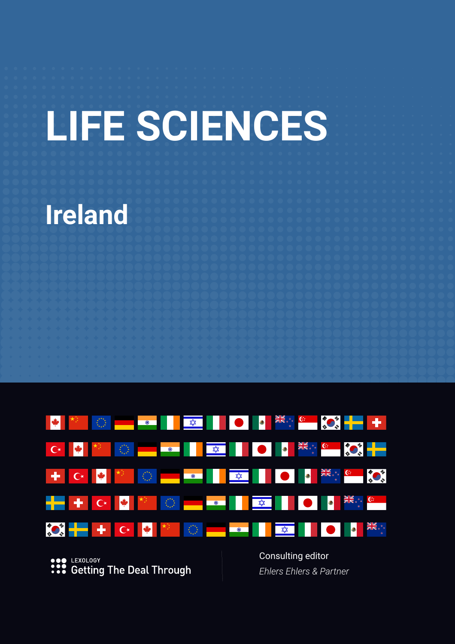# **LIFE SCIENCES**

# **Ireland**



**SOP LEXOLOGY**<br> **•••** Getting The Deal Through

Consulting editor *Ehlers Ehlers & Partner*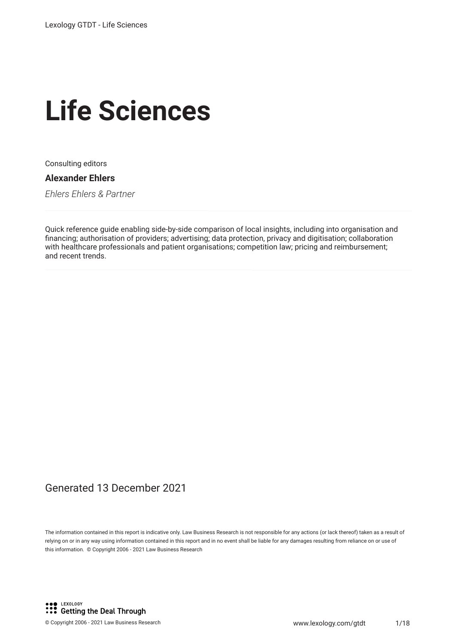# **Life Sciences**

Consulting editors

#### **Alexander Ehlers**

*Ehlers Ehlers & Partner*

Quick reference guide enabling side-by-side comparison of local insights, including into organisation and fnancing; authorisation of providers; advertising; data protection, privacy and digitisation; collaboration with healthcare professionals and patient organisations; competition law; pricing and reimbursement; and recent trends.

#### Generated 13 December 2021

The information contained in this report is indicative only. Law Business Research is not responsible for any actions (or lack thereof) taken as a result of relying on or in any way using information contained in this report and in no event shall be liable for any damages resulting from reliance on or use of this information. © Copyright 2006 - 2021 Law Business Research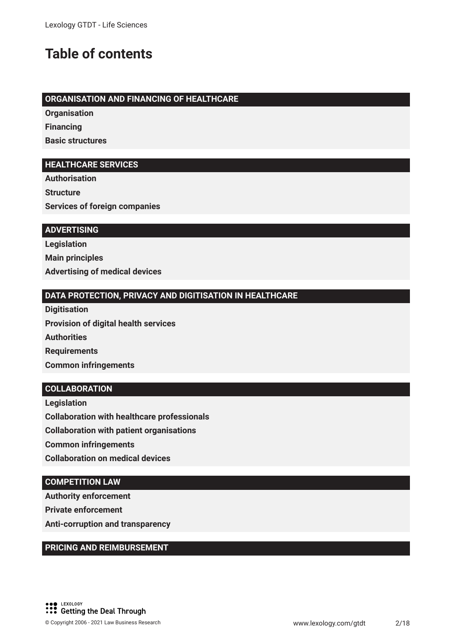### **Table of contents**

#### **ORGANISATION AND FINANCING OF HEALTHCARE**

**Organisation Financing**

**Basic structures**

#### **HEALTHCARE SERVICES**

**Authorisation Structure Services of foreign companies**

#### **ADVERTISING**

**Legislation Main principles Advertising of medical devices** 

#### **DATA PROTECTION, PRIVACY AND DIGITISATION IN HEALTHCARE**

**Digitisation Provision of digital health services Authorities Requirements Common infringements**

#### **COLLABORATION**

**Legislation Collaboration with healthcare professionals Collaboration with patient organisations Common infringements Collaboration on medical devices**

#### **COMPETITION LAW**

**Authority enforcement**

**Private enforcement**

**Anti-corruption and transparency**

#### **PRICING AND REIMBURSEMENT**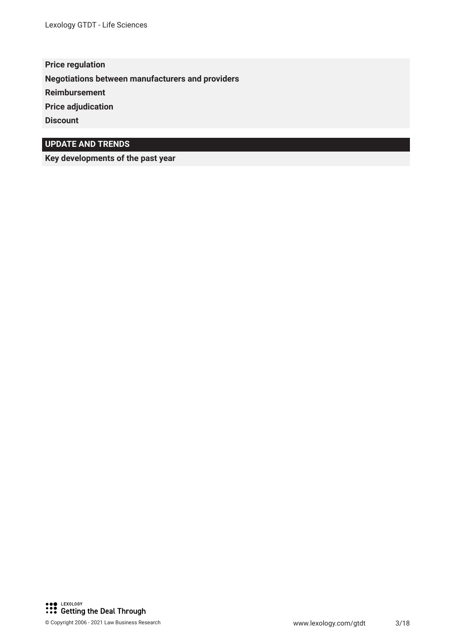**Price regulation Negotiations between manufacturers and providers Reimbursement Price adjudication Discount**

#### **UPDATE AND TRENDS**

**Key developments of the past year**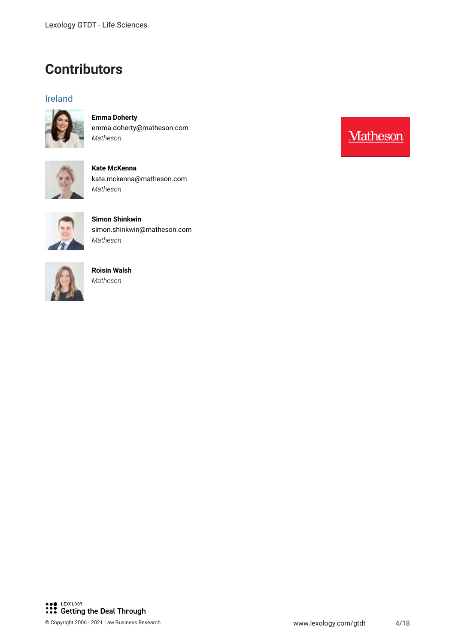### **Contributors**

#### Ireland



**Emma Doherty** emma.doherty@matheson.com *Matheson*



**Kate McKenna** kate.mckenna@matheson.com *Matheson*



**Simon Shinkwin** simon.shinkwin@matheson.com *Matheson*



**Roisin Walsh** *Matheson*

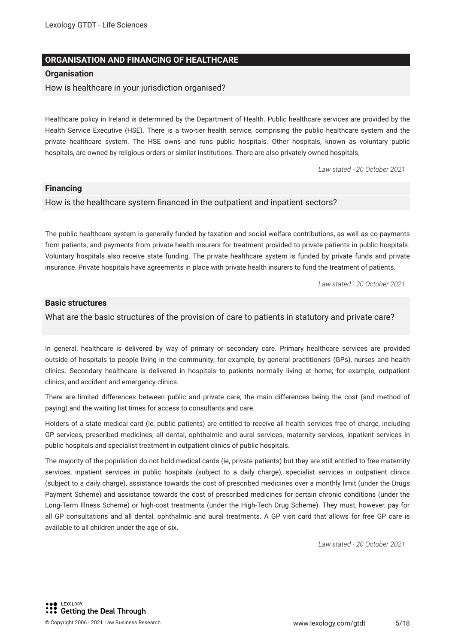#### **ORGANISATION AND FINANCING OF HEALTHCARE**

#### **Organisation**

How is healthcare in your jurisdiction organised?

Healthcare policy in Ireland is determined by the Department of Health. Public healthcare services are provided by the Health Service Executive (HSE). There is a two-tier health service, comprising the public healthcare system and the private healthcare system. The HSE owns and runs public hospitals. Other hospitals, known as voluntary public hospitals, are owned by religious orders or similar institutions. There are also privately owned hospitals.

*Law stated - 20 October 2021*

#### **Financing**

How is the healthcare system fnanced in the outpatient and inpatient sectors?

The public healthcare system is generally funded by taxation and social welfare contributions, as well as co-payments from patients, and payments from private health insurers for treatment provided to private patients in public hospitals. Voluntary hospitals also receive state funding. The private healthcare system is funded by private funds and private insurance. Private hospitals have agreements in place with private health insurers to fund the treatment of patients.

*Law stated - 20 October 2021*

#### **Basic structures**

What are the basic structures of the provision of care to patients in statutory and private care?

In general, healthcare is delivered by way of primary or secondary care. Primary healthcare services are provided outside of hospitals to people living in the community; for example, by general practitioners (GPs), nurses and health clinics. Secondary healthcare is delivered in hospitals to patients normally living at home; for example, outpatient clinics, and accident and emergency clinics.

There are limited differences between public and private care; the main differences being the cost (and method of paying) and the waiting list times for access to consultants and care.

Holders of a state medical card (ie, public patients) are entitled to receive all health services free of charge, including GP services, prescribed medicines, all dental, ophthalmic and aural services, maternity services, inpatient services in public hospitals and specialist treatment in outpatient clinics of public hospitals.

The majority of the population do not hold medical cards (ie, private patients) but they are still entitled to free maternity services, inpatient services in public hospitals (subject to a daily charge), specialist services in outpatient clinics (subject to a daily charge), assistance towards the cost of prescribed medicines over a monthly limit (under the Drugs Payment Scheme) and assistance towards the cost of prescribed medicines for certain chronic conditions (under the Long-Term Illness Scheme) or high-cost treatments (under the High-Tech Drug Scheme). They must, however, pay for all GP consultations and all dental, ophthalmic and aural treatments. A GP visit card that allows for free GP care is available to all children under the age of six.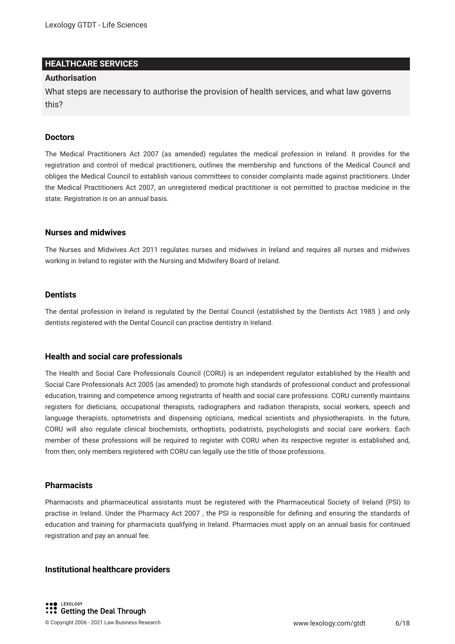#### **HEALTHCARE SERVICES**

#### **Authorisation**

What steps are necessary to authorise the provision of health services, and what law governs this?

#### **Doctors**

The Medical Practitioners Act 2007 (as amended) regulates the medical profession in Ireland. It provides for the registration and control of medical practitioners, outlines the membership and functions of the Medical Council and obliges the Medical Council to establish various committees to consider complaints made against practitioners. Under the Medical Practitioners Act 2007, an unregistered medical practitioner is not permitted to practise medicine in the state. Registration is on an annual basis.

#### **Nurses and midwives**

The Nurses and Midwives Act 2011 regulates nurses and midwives in Ireland and requires all nurses and midwives working in Ireland to register with the Nursing and Midwifery Board of Ireland.

#### **Dentists**

The dental profession in Ireland is regulated by the Dental Council (established by the Dentists Act 1985 ) and only dentists registered with the Dental Council can practise dentistry in Ireland.

#### **Health and social care professionals**

The Health and Social Care Professionals Council (CORU) is an independent regulator established by the Health and Social Care Professionals Act 2005 (as amended) to promote high standards of professional conduct and professional education, training and competence among registrants of health and social care professions. CORU currently maintains registers for dieticians, occupational therapists, radiographers and radiation therapists, social workers, speech and language therapists, optometrists and dispensing opticians, medical scientists and physiotherapists. In the future, CORU will also regulate clinical biochemists, orthoptists, podiatrists, psychologists and social care workers. Each member of these professions will be required to register with CORU when its respective register is established and, from then, only members registered with CORU can legally use the title of those professions.

#### **Pharmacists**

Pharmacists and pharmaceutical assistants must be registered with the Pharmaceutical Society of Ireland (PSI) to practise in Ireland. Under the Pharmacy Act 2007 , the PSI is responsible for defning and ensuring the standards of education and training for pharmacists qualifying in Ireland. Pharmacies must apply on an annual basis for continued registration and pay an annual fee.

#### **Institutional healthcare providers**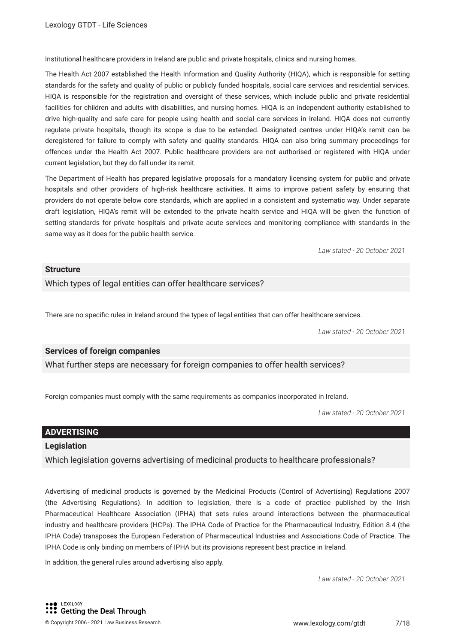Institutional healthcare providers in Ireland are public and private hospitals, clinics and nursing homes.

The Health Act 2007 established the Health Information and Quality Authority (HIQA), which is responsible for setting standards for the safety and quality of public or publicly funded hospitals, social care services and residential services. HIQA is responsible for the registration and oversight of these services, which include public and private residential facilities for children and adults with disabilities, and nursing homes. HIQA is an independent authority established to drive high-quality and safe care for people using health and social care services in Ireland. HIQA does not currently regulate private hospitals, though its scope is due to be extended. Designated centres under HIQA's remit can be deregistered for failure to comply with safety and quality standards. HIQA can also bring summary proceedings for offences under the Health Act 2007. Public healthcare providers are not authorised or registered with HIQA under current legislation, but they do fall under its remit.

The Department of Health has prepared legislative proposals for a mandatory licensing system for public and private hospitals and other providers of high-risk healthcare activities. It aims to improve patient safety by ensuring that providers do not operate below core standards, which are applied in a consistent and systematic way. Under separate draft legislation, HIQA's remit will be extended to the private health service and HIQA will be given the function of setting standards for private hospitals and private acute services and monitoring compliance with standards in the same way as it does for the public health service.

*Law stated - 20 October 2021*

#### **Structure**

Which types of legal entities can offer healthcare services?

There are no specifc rules in Ireland around the types of legal entities that can offer healthcare services.

*Law stated - 20 October 2021*

#### **Services of foreign companies**

What further steps are necessary for foreign companies to offer health services?

Foreign companies must comply with the same requirements as companies incorporated in Ireland.

*Law stated - 20 October 2021*

#### **ADVERTISING**

#### **Legislation**

Which legislation governs advertising of medicinal products to healthcare professionals?

Advertising of medicinal products is governed by the Medicinal Products (Control of Advertising) Regulations 2007 (the Advertising Regulations). In addition to legislation, there is a code of practice published by the Irish Pharmaceutical Healthcare Association (IPHA) that sets rules around interactions between the pharmaceutical industry and healthcare providers (HCPs). The IPHA Code of Practice for the Pharmaceutical Industry, Edition 8.4 (the IPHA Code) transposes the European Federation of Pharmaceutical Industries and Associations Code of Practice. The IPHA Code is only binding on members of IPHA but its provisions represent best practice in Ireland.

In addition, the general rules around advertising also apply.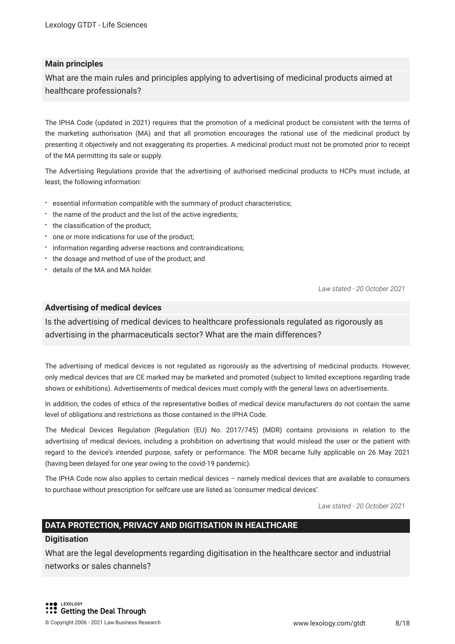#### **Main principles**

What are the main rules and principles applying to advertising of medicinal products aimed at healthcare professionals?

The IPHA Code (updated in 2021) requires that the promotion of a medicinal product be consistent with the terms of the marketing authorisation (MA) and that all promotion encourages the rational use of the medicinal product by presenting it objectively and not exaggerating its properties. A medicinal product must not be promoted prior to receipt of the MA permitting its sale or supply.

The Advertising Regulations provide that the advertising of authorised medicinal products to HCPs must include, at least, the following information:

- essential information compatible with the summary of product characteristics;
- the name of the product and the list of the active ingredients;
- the classification of the product;
- one or more indications for use of the product;
- $\cdot$  information regarding adverse reactions and contraindications;
- the dosage and method of use of the product; and
- details of the MA and MA holder.

*Law stated - 20 October 2021*

#### **Advertising of medical devices**

Is the advertising of medical devices to healthcare professionals regulated as rigorously as advertising in the pharmaceuticals sector? What are the main differences?

The advertising of medical devices is not regulated as rigorously as the advertising of medicinal products. However, only medical devices that are CE marked may be marketed and promoted (subject to limited exceptions regarding trade shows or exhibitions). Advertisements of medical devices must comply with the general laws on advertisements.

In addition, the codes of ethics of the representative bodies of medical device manufacturers do not contain the same level of obligations and restrictions as those contained in the IPHA Code.

The Medical Devices Regulation (Regulation (EU) No. 2017/745) (MDR) contains provisions in relation to the advertising of medical devices, including a prohibition on advertising that would mislead the user or the patient with regard to the device's intended purpose, safety or performance. The MDR became fully applicable on 26 May 2021 (having been delayed for one year owing to the covid-19 pandemic).

The IPHA Code now also applies to certain medical devices – namely medical devices that are available to consumers to purchase without prescription for selfcare use are listed as 'consumer medical devices'.

*Law stated - 20 October 2021*

#### **DATA PROTECTION, PRIVACY AND DIGITISATION IN HEALTHCARE**

#### **Digitisation**

What are the legal developments regarding digitisation in the healthcare sector and industrial networks or sales channels?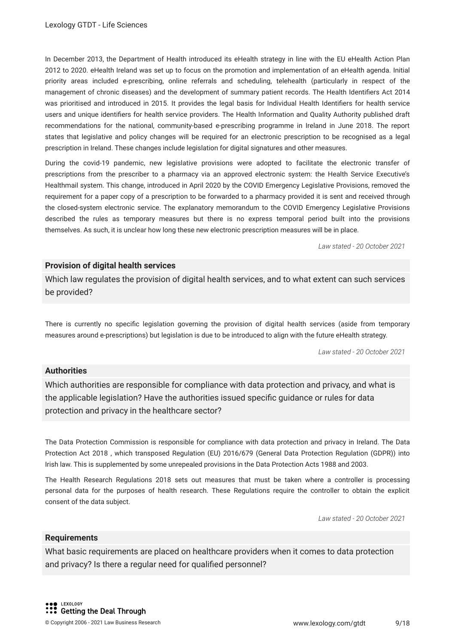In December 2013, the Department of Health introduced its eHealth strategy in line with the EU eHealth Action Plan 2012 to 2020. eHealth Ireland was set up to focus on the promotion and implementation of an eHealth agenda. Initial priority areas included e-prescribing, online referrals and scheduling, telehealth (particularly in respect of the management of chronic diseases) and the development of summary patient records. The Health Identifers Act 2014 was prioritised and introduced in 2015. It provides the legal basis for Individual Health Identifers for health service users and unique identifers for health service providers. The Health Information and Quality Authority published draft recommendations for the national, community-based e-prescribing programme in Ireland in June 2018. The report states that legislative and policy changes will be required for an electronic prescription to be recognised as a legal prescription in Ireland. These changes include legislation for digital signatures and other measures.

During the covid-19 pandemic, new legislative provisions were adopted to facilitate the electronic transfer of prescriptions from the prescriber to a pharmacy via an approved electronic system: the Health Service Executive's Healthmail system. This change, introduced in April 2020 by the COVID Emergency Legislative Provisions, removed the requirement for a paper copy of a prescription to be forwarded to a pharmacy provided it is sent and received through the closed-system electronic service. The explanatory memorandum to the COVID Emergency Legislative Provisions described the rules as temporary measures but there is no express temporal period built into the provisions themselves. As such, it is unclear how long these new electronic prescription measures will be in place.

*Law stated - 20 October 2021*

#### **Provision of digital health services**

Which law regulates the provision of digital health services, and to what extent can such services be provided?

There is currently no specifc legislation governing the provision of digital health services (aside from temporary measures around e-prescriptions) but legislation is due to be introduced to align with the future eHealth strategy.

*Law stated - 20 October 2021*

#### **Authorities**

Which authorities are responsible for compliance with data protection and privacy, and what is the applicable legislation? Have the authorities issued specifc guidance or rules for data protection and privacy in the healthcare sector?

The Data Protection Commission is responsible for compliance with data protection and privacy in Ireland. The Data Protection Act 2018 , which transposed Regulation (EU) 2016/679 (General Data Protection Regulation (GDPR)) into Irish law. This is supplemented by some unrepealed provisions in the Data Protection Acts 1988 and 2003.

The Health Research Regulations 2018 sets out measures that must be taken where a controller is processing personal data for the purposes of health research. These Regulations require the controller to obtain the explicit consent of the data subject.

*Law stated - 20 October 2021*

#### **Requirements**

What basic requirements are placed on healthcare providers when it comes to data protection and privacy? Is there a regular need for qualifed personnel?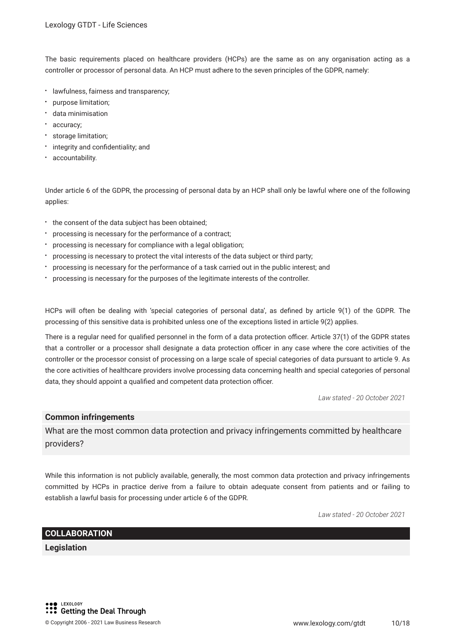The basic requirements placed on healthcare providers (HCPs) are the same as on any organisation acting as a controller or processor of personal data. An HCP must adhere to the seven principles of the GDPR, namely:

- lawfulness, fairness and transparency;
- purpose limitation;
- data minimisation
- accuracy;
- storage limitation;
- integrity and confidentiality; and
- accountability.

Under article 6 of the GDPR, the processing of personal data by an HCP shall only be lawful where one of the following applies:

- the consent of the data subject has been obtained;
- processing is necessary for the performance of a contract;
- processing is necessary for compliance with a legal obligation;
- processing is necessary to protect the vital interests of the data subject or third party;
- processing is necessary for the performance of a task carried out in the public interest; and
- processing is necessary for the purposes of the legitimate interests of the controller.

HCPs will often be dealing with 'special categories of personal data', as defned by article 9(1) of the GDPR. The processing of this sensitive data is prohibited unless one of the exceptions listed in article 9(2) applies.

There is a regular need for qualified personnel in the form of a data protection officer. Article 37(1) of the GDPR states that a controller or a processor shall designate a data protection officer in any case where the core activities of the controller or the processor consist of processing on a large scale of special categories of data pursuant to article 9. As the core activities of healthcare providers involve processing data concerning health and special categories of personal data, they should appoint a qualified and competent data protection officer.

*Law stated - 20 October 2021*

#### **Common infringements**

What are the most common data protection and privacy infringements committed by healthcare providers?

While this information is not publicly available, generally, the most common data protection and privacy infringements committed by HCPs in practice derive from a failure to obtain adequate consent from patients and or failing to establish a lawful basis for processing under article 6 of the GDPR.

*Law stated - 20 October 2021*

#### **COLLABORATION**

**Legislation**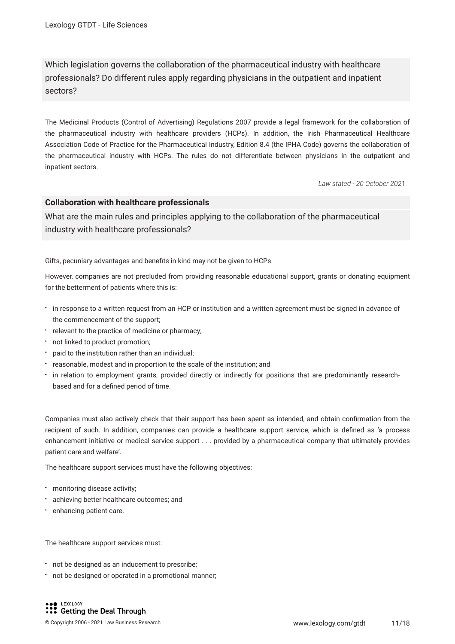Which legislation governs the collaboration of the pharmaceutical industry with healthcare professionals? Do different rules apply regarding physicians in the outpatient and inpatient sectors?

The Medicinal Products (Control of Advertising) Regulations 2007 provide a legal framework for the collaboration of the pharmaceutical industry with healthcare providers (HCPs). In addition, the Irish Pharmaceutical Healthcare Association Code of Practice for the Pharmaceutical Industry, Edition 8.4 (the IPHA Code) governs the collaboration of the pharmaceutical industry with HCPs. The rules do not differentiate between physicians in the outpatient and inpatient sectors.

*Law stated - 20 October 2021*

#### **Collaboration with healthcare professionals**

What are the main rules and principles applying to the collaboration of the pharmaceutical industry with healthcare professionals?

Gifts, pecuniary advantages and benefts in kind may not be given to HCPs.

However, companies are not precluded from providing reasonable educational support, grants or donating equipment for the betterment of patients where this is:

- in response to a written request from an HCP or institution and a written agreement must be signed in advance of the commencement of the support;
- relevant to the practice of medicine or pharmacy;
- not linked to product promotion;
- paid to the institution rather than an individual;
- reasonable, modest and in proportion to the scale of the institution; and
- in relation to employment grants, provided directly or indirectly for positions that are predominantly researchbased and for a defned period of time.

Companies must also actively check that their support has been spent as intended, and obtain confrmation from the recipient of such. In addition, companies can provide a healthcare support service, which is defned as 'a process enhancement initiative or medical service support . . . provided by a pharmaceutical company that ultimately provides patient care and welfare'.

The healthcare support services must have the following objectives:

- monitoring disease activity;
- achieving better healthcare outcomes; and
- **•** enhancing patient care.

The healthcare support services must:

- not be designed as an inducement to prescribe;
- not be designed or operated in a promotional manner;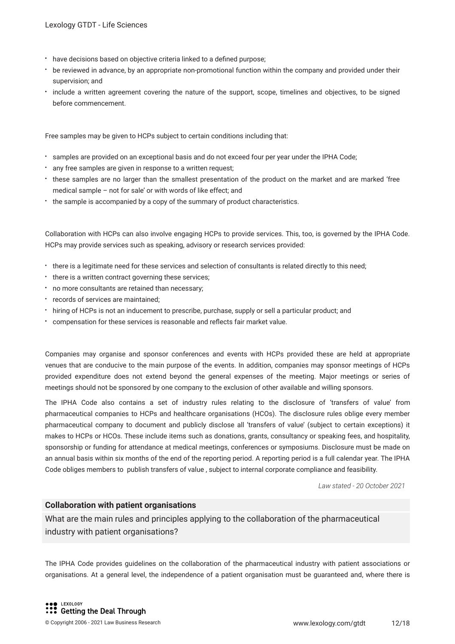- have decisions based on objective criteria linked to a defned purpose;
- be reviewed in advance, by an appropriate non-promotional function within the company and provided under their supervision; and
- include a written agreement covering the nature of the support, scope, timelines and objectives, to be signed before commencement.

Free samples may be given to HCPs subject to certain conditions including that:

- samples are provided on an exceptional basis and do not exceed four per year under the IPHA Code;
- any free samples are given in response to a written request;
- these samples are no larger than the smallest presentation of the product on the market and are marked 'free medical sample – not for sale' or with words of like effect; and
- the sample is accompanied by a copy of the summary of product characteristics.

Collaboration with HCPs can also involve engaging HCPs to provide services. This, too, is governed by the IPHA Code. HCPs may provide services such as speaking, advisory or research services provided:

- there is a legitimate need for these services and selection of consultants is related directly to this need;
- there is a written contract governing these services;
- no more consultants are retained than necessary;
- records of services are maintained;
- hiring of HCPs is not an inducement to prescribe, purchase, supply or sell a particular product; and
- compensation for these services is reasonable and refects fair market value.

Companies may organise and sponsor conferences and events with HCPs provided these are held at appropriate venues that are conducive to the main purpose of the events. In addition, companies may sponsor meetings of HCPs provided expenditure does not extend beyond the general expenses of the meeting. Major meetings or series of meetings should not be sponsored by one company to the exclusion of other available and willing sponsors.

The IPHA Code also contains a set of industry rules relating to the disclosure of 'transfers of value' from pharmaceutical companies to HCPs and healthcare organisations (HCOs). The disclosure rules oblige every member pharmaceutical company to document and publicly disclose all 'transfers of value' (subject to certain exceptions) it makes to HCPs or HCOs. These include items such as donations, grants, consultancy or speaking fees, and hospitality, sponsorship or funding for attendance at medical meetings, conferences or symposiums. Disclosure must be made on an annual basis within six months of the end of the reporting period. A reporting period is a full calendar year. The IPHA Code obliges members to publish transfers of value , subject to internal corporate compliance and feasibility.

*Law stated - 20 October 2021*

#### **Collaboration with patient organisations**

What are the main rules and principles applying to the collaboration of the pharmaceutical industry with patient organisations?

The IPHA Code provides guidelines on the collaboration of the pharmaceutical industry with patient associations or organisations. At a general level, the independence of a patient organisation must be guaranteed and, where there is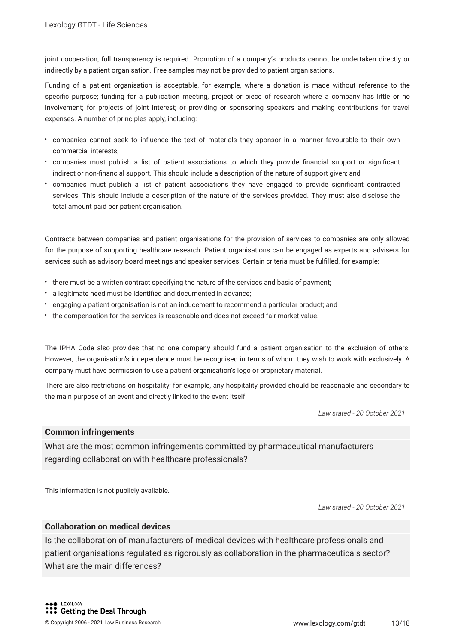joint cooperation, full transparency is required. Promotion of a company's products cannot be undertaken directly or indirectly by a patient organisation. Free samples may not be provided to patient organisations.

Funding of a patient organisation is acceptable, for example, where a donation is made without reference to the specifc purpose; funding for a publication meeting, project or piece of research where a company has little or no involvement; for projects of joint interest; or providing or sponsoring speakers and making contributions for travel expenses. A number of principles apply, including:

- companies cannot seek to infuence the text of materials they sponsor in a manner favourable to their own commercial interests;
- companies must publish a list of patient associations to which they provide fnancial support or signifcant indirect or non-fnancial support. This should include a description of the nature of support given; and
- companies must publish a list of patient associations they have engaged to provide signifcant contracted services. This should include a description of the nature of the services provided. They must also disclose the total amount paid per patient organisation.

Contracts between companies and patient organisations for the provision of services to companies are only allowed for the purpose of supporting healthcare research. Patient organisations can be engaged as experts and advisers for services such as advisory board meetings and speaker services. Certain criteria must be fulflled, for example:

- there must be a written contract specifying the nature of the services and basis of payment;
- a legitimate need must be identifed and documented in advance;
- engaging a patient organisation is not an inducement to recommend a particular product; and
- the compensation for the services is reasonable and does not exceed fair market value.

The IPHA Code also provides that no one company should fund a patient organisation to the exclusion of others. However, the organisation's independence must be recognised in terms of whom they wish to work with exclusively. A company must have permission to use a patient organisation's logo or proprietary material.

There are also restrictions on hospitality; for example, any hospitality provided should be reasonable and secondary to the main purpose of an event and directly linked to the event itself.

*Law stated - 20 October 2021*

#### **Common infringements**

What are the most common infringements committed by pharmaceutical manufacturers regarding collaboration with healthcare professionals?

This information is not publicly available.

*Law stated - 20 October 2021*

#### **Collaboration on medical devices**

Is the collaboration of manufacturers of medical devices with healthcare professionals and patient organisations regulated as rigorously as collaboration in the pharmaceuticals sector? What are the main differences?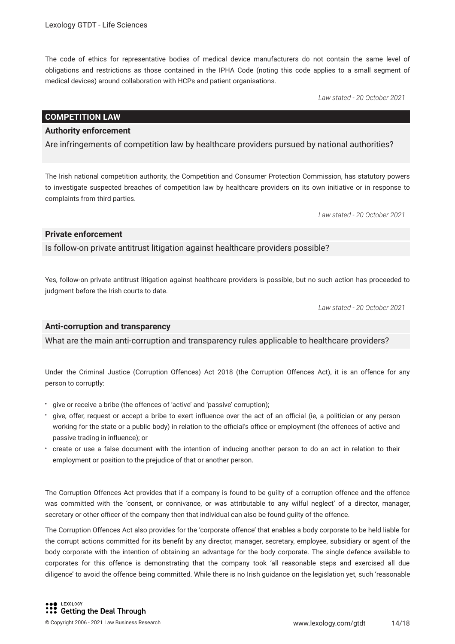The code of ethics for representative bodies of medical device manufacturers do not contain the same level of obligations and restrictions as those contained in the IPHA Code (noting this code applies to a small segment of medical devices) around collaboration with HCPs and patient organisations.

*Law stated - 20 October 2021*

#### **COMPETITION LAW**

#### **Authority enforcement**

Are infringements of competition law by healthcare providers pursued by national authorities?

The Irish national competition authority, the Competition and Consumer Protection Commission, has statutory powers to investigate suspected breaches of competition law by healthcare providers on its own initiative or in response to complaints from third parties.

*Law stated - 20 October 2021*

#### **Private enforcement**

Is follow-on private antitrust litigation against healthcare providers possible?

Yes, follow-on private antitrust litigation against healthcare providers is possible, but no such action has proceeded to judgment before the Irish courts to date.

*Law stated - 20 October 2021*

#### **Anti-corruption and transparency**

What are the main anti-corruption and transparency rules applicable to healthcare providers?

Under the Criminal Justice (Corruption Offences) Act 2018 (the Corruption Offences Act), it is an offence for any person to corruptly:

- give or receive a bribe (the offences of 'active' and 'passive' corruption);
- give, offer, request or accept a bribe to exert influence over the act of an official (ie, a politician or any person working for the state or a public body) in relation to the official's office or employment (the offences of active and passive trading in infuence); or
- create or use a false document with the intention of inducing another person to do an act in relation to their employment or position to the prejudice of that or another person.

The Corruption Offences Act provides that if a company is found to be guilty of a corruption offence and the offence was committed with the 'consent, or connivance, or was attributable to any wilful neglect' of a director, manager, secretary or other officer of the company then that individual can also be found guilty of the offence.

The Corruption Offences Act also provides for the 'corporate offence' that enables a body corporate to be held liable for the corrupt actions committed for its beneft by any director, manager, secretary, employee, subsidiary or agent of the body corporate with the intention of obtaining an advantage for the body corporate. The single defence available to corporates for this offence is demonstrating that the company took 'all reasonable steps and exercised all due diligence' to avoid the offence being committed. While there is no Irish guidance on the legislation yet, such 'reasonable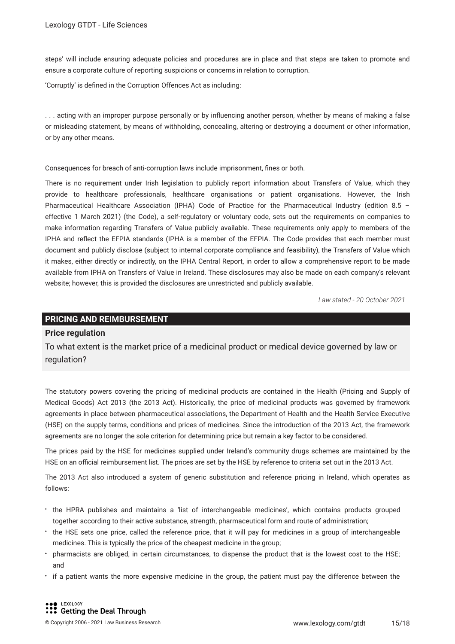steps' will include ensuring adequate policies and procedures are in place and that steps are taken to promote and ensure a corporate culture of reporting suspicions or concerns in relation to corruption.

'Corruptly' is defned in the Corruption Offences Act as including:

. . . acting with an improper purpose personally or by infuencing another person, whether by means of making a false or misleading statement, by means of withholding, concealing, altering or destroying a document or other information, or by any other means.

Consequences for breach of anti-corruption laws include imprisonment, fnes or both.

There is no requirement under Irish legislation to publicly report information about Transfers of Value, which they provide to healthcare professionals, healthcare organisations or patient organisations. However, the Irish Pharmaceutical Healthcare Association (IPHA) Code of Practice for the Pharmaceutical Industry (edition 8.5 – effective 1 March 2021) (the Code), a self-regulatory or voluntary code, sets out the requirements on companies to make information regarding Transfers of Value publicly available. These requirements only apply to members of the IPHA and refect the EFPIA standards (IPHA is a member of the EFPIA. The Code provides that each member must document and publicly disclose (subject to internal corporate compliance and feasibility), the Transfers of Value which it makes, either directly or indirectly, on the IPHA Central Report, in order to allow a comprehensive report to be made available from IPHA on Transfers of Value in Ireland. These disclosures may also be made on each company's relevant website; however, this is provided the disclosures are unrestricted and publicly available.

*Law stated - 20 October 2021*

#### **PRICING AND REIMBURSEMENT**

#### **Price regulation**

To what extent is the market price of a medicinal product or medical device governed by law or regulation?

The statutory powers covering the pricing of medicinal products are contained in the Health (Pricing and Supply of Medical Goods) Act 2013 (the 2013 Act). Historically, the price of medicinal products was governed by framework agreements in place between pharmaceutical associations, the Department of Health and the Health Service Executive (HSE) on the supply terms, conditions and prices of medicines. Since the introduction of the 2013 Act, the framework agreements are no longer the sole criterion for determining price but remain a key factor to be considered.

The prices paid by the HSE for medicines supplied under Ireland's community drugs schemes are maintained by the HSE on an official reimbursement list. The prices are set by the HSE by reference to criteria set out in the 2013 Act.

The 2013 Act also introduced a system of generic substitution and reference pricing in Ireland, which operates as follows:

- the HPRA publishes and maintains a 'list of interchangeable medicines', which contains products grouped together according to their active substance, strength, pharmaceutical form and route of administration;
- the HSE sets one price, called the reference price, that it will pay for medicines in a group of interchangeable medicines. This is typically the price of the cheapest medicine in the group;
- pharmacists are obliged, in certain circumstances, to dispense the product that is the lowest cost to the HSE; and
- if a patient wants the more expensive medicine in the group, the patient must pay the difference between the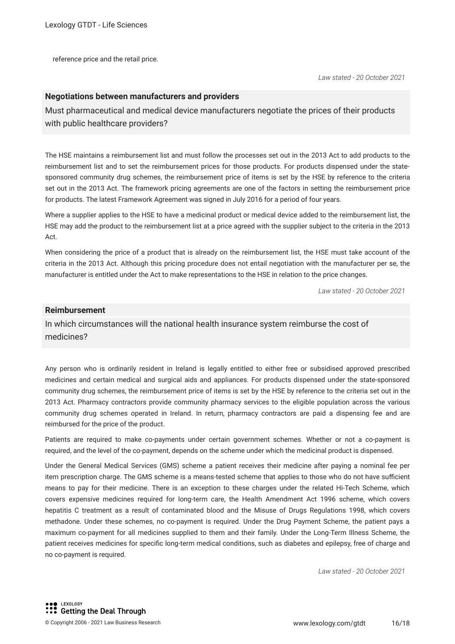reference price and the retail price.

#### **Negotiations between manufacturers and providers**

Must pharmaceutical and medical device manufacturers negotiate the prices of their products with public healthcare providers?

The HSE maintains a reimbursement list and must follow the processes set out in the 2013 Act to add products to the reimbursement list and to set the reimbursement prices for those products. For products dispensed under the statesponsored community drug schemes, the reimbursement price of items is set by the HSE by reference to the criteria set out in the 2013 Act. The framework pricing agreements are one of the factors in setting the reimbursement price for products. The latest Framework Agreement was signed in July 2016 for a period of four years.

Where a supplier applies to the HSE to have a medicinal product or medical device added to the reimbursement list, the HSE may add the product to the reimbursement list at a price agreed with the supplier subject to the criteria in the 2013 Act.

When considering the price of a product that is already on the reimbursement list, the HSE must take account of the criteria in the 2013 Act. Although this pricing procedure does not entail negotiation with the manufacturer per se, the manufacturer is entitled under the Act to make representations to the HSE in relation to the price changes.

*Law stated - 20 October 2021*

#### **Reimbursement**

In which circumstances will the national health insurance system reimburse the cost of medicines?

Any person who is ordinarily resident in Ireland is legally entitled to either free or subsidised approved prescribed medicines and certain medical and surgical aids and appliances. For products dispensed under the state-sponsored community drug schemes, the reimbursement price of items is set by the HSE by reference to the criteria set out in the 2013 Act. Pharmacy contractors provide community pharmacy services to the eligible population across the various community drug schemes operated in Ireland. In return, pharmacy contractors are paid a dispensing fee and are reimbursed for the price of the product.

Patients are required to make co-payments under certain government schemes. Whether or not a co-payment is required, and the level of the co-payment, depends on the scheme under which the medicinal product is dispensed.

Under the General Medical Services (GMS) scheme a patient receives their medicine after paying a nominal fee per item prescription charge. The GMS scheme is a means-tested scheme that applies to those who do not have sufficient means to pay for their medicine. There is an exception to these charges under the related Hi-Tech Scheme, which covers expensive medicines required for long-term care, the Health Amendment Act 1996 scheme, which covers hepatitis C treatment as a result of contaminated blood and the Misuse of Drugs Regulations 1998, which covers methadone. Under these schemes, no co-payment is required. Under the Drug Payment Scheme, the patient pays a maximum co-payment for all medicines supplied to them and their family. Under the Long-Term Illness Scheme, the patient receives medicines for specifc long-term medical conditions, such as diabetes and epilepsy, free of charge and no co-payment is required.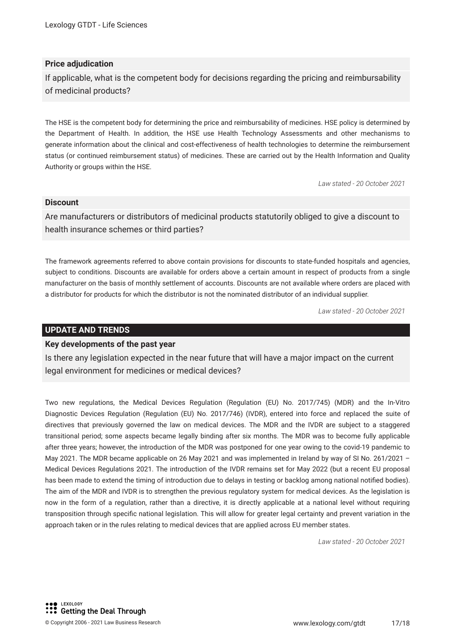#### **Price adjudication**

If applicable, what is the competent body for decisions regarding the pricing and reimbursability of medicinal products?

The HSE is the competent body for determining the price and reimbursability of medicines. HSE policy is determined by the Department of Health. In addition, the HSE use Health Technology Assessments and other mechanisms to generate information about the clinical and cost-effectiveness of health technologies to determine the reimbursement status (or continued reimbursement status) of medicines. These are carried out by the Health Information and Quality Authority or groups within the HSE.

*Law stated - 20 October 2021*

#### **Discount**

Are manufacturers or distributors of medicinal products statutorily obliged to give a discount to health insurance schemes or third parties?

The framework agreements referred to above contain provisions for discounts to state-funded hospitals and agencies, subject to conditions. Discounts are available for orders above a certain amount in respect of products from a single manufacturer on the basis of monthly settlement of accounts. Discounts are not available where orders are placed with a distributor for products for which the distributor is not the nominated distributor of an individual supplier.

*Law stated - 20 October 2021*

#### **UPDATE AND TRENDS**

#### **Key developments of the past year**

Is there any legislation expected in the near future that will have a major impact on the current legal environment for medicines or medical devices?

Two new regulations, the Medical Devices Regulation (Regulation (EU) No. 2017/745) (MDR) and the In-Vitro Diagnostic Devices Regulation (Regulation (EU) No. 2017/746) (IVDR), entered into force and replaced the suite of directives that previously governed the law on medical devices. The MDR and the IVDR are subject to a staggered transitional period; some aspects became legally binding after six months. The MDR was to become fully applicable after three years; however, the introduction of the MDR was postponed for one year owing to the covid-19 pandemic to May 2021. The MDR became applicable on 26 May 2021 and was implemented in Ireland by way of SI No. 261/2021 – Medical Devices Regulations 2021. The introduction of the IVDR remains set for May 2022 (but a recent EU proposal has been made to extend the timing of introduction due to delays in testing or backlog among national notifed bodies). The aim of the MDR and IVDR is to strengthen the previous regulatory system for medical devices. As the legislation is now in the form of a regulation, rather than a directive, it is directly applicable at a national level without requiring transposition through specifc national legislation. This will allow for greater legal certainty and prevent variation in the approach taken or in the rules relating to medical devices that are applied across EU member states.